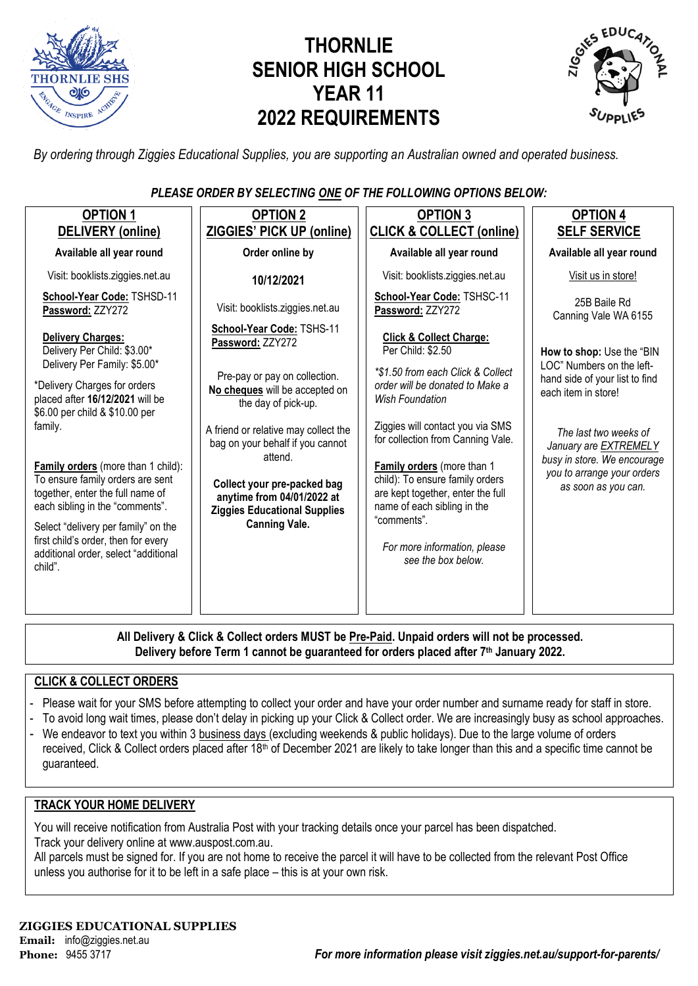

# **THORNLIE SENIOR HIGH SCHOOL YEAR 11 2022 REQUIREMENTS**



*By ordering through Ziggies Educational Supplies, you are supporting an Australian owned and operated business.*

### *PLEASE ORDER BY SELECTING ONE OF THE FOLLOWING OPTIONS BELOW:*

| <b>OPTION 1</b><br>DELIVERY (online)                                                                                                                 | <b>OPTION 2</b><br><b>ZIGGIES' PICK UP (online)</b>                                                         | <b>OPTION 3</b><br><b>CLICK &amp; COLLECT (online)</b>                                                                            | <b>OPTION 4</b><br><b>SELF SERVICE</b>                                             |
|------------------------------------------------------------------------------------------------------------------------------------------------------|-------------------------------------------------------------------------------------------------------------|-----------------------------------------------------------------------------------------------------------------------------------|------------------------------------------------------------------------------------|
| Available all year round                                                                                                                             | Order online by                                                                                             | Available all year round                                                                                                          | Available all year round                                                           |
| Visit: booklists.ziggies.net.au                                                                                                                      | 10/12/2021                                                                                                  | Visit: booklists.ziggies.net.au                                                                                                   | Visit us in store!                                                                 |
| School-Year Code: TSHSD-11<br>Password: ZZY272                                                                                                       | Visit: booklists.ziggies.net.au                                                                             | School-Year Code: TSHSC-11<br>Password: ZZY272                                                                                    | 25B Baile Rd<br>Canning Vale WA 6155                                               |
| <b>Delivery Charges:</b><br>Delivery Per Child: \$3.00*<br>Delivery Per Family: \$5.00*                                                              | School-Year Code: TSHS-11<br>Password: ZZY272                                                               | <b>Click &amp; Collect Charge:</b><br>Per Child: \$2.50                                                                           | How to shop: Use the "BIN                                                          |
| *Delivery Charges for orders<br>placed after 16/12/2021 will be<br>\$6.00 per child & \$10.00 per                                                    | Pre-pay or pay on collection.<br>No cheques will be accepted on<br>the day of pick-up.                      | *\$1.50 from each Click & Collect<br>order will be donated to Make a<br><b>Wish Foundation</b>                                    | LOC" Numbers on the left-<br>hand side of your list to find<br>each item in store! |
| family.                                                                                                                                              | A friend or relative may collect the<br>bag on your behalf if you cannot                                    | Ziggies will contact you via SMS<br>for collection from Canning Vale.                                                             | The last two weeks of<br>January are EXTREMELY                                     |
| <b>Family orders</b> (more than 1 child):<br>To ensure family orders are sent<br>together, enter the full name of<br>each sibling in the "comments". | attend.<br>Collect your pre-packed bag<br>anytime from 04/01/2022 at<br><b>Ziggies Educational Supplies</b> | Family orders (more than 1<br>child): To ensure family orders<br>are kept together, enter the full<br>name of each sibling in the | busy in store. We encourage<br>you to arrange your orders<br>as soon as you can.   |
| Select "delivery per family" on the<br>first child's order, then for every<br>additional order, select "additional<br>child".                        | <b>Canning Vale.</b>                                                                                        | "comments".<br>For more information, please<br>see the box below.                                                                 |                                                                                    |
|                                                                                                                                                      |                                                                                                             |                                                                                                                                   |                                                                                    |

**All Delivery & Click & Collect orders MUST be Pre-Paid. Unpaid orders will not be processed. Delivery before Term 1 cannot be guaranteed for orders placed after 7th January 2022.**

### **CLICK & COLLECT ORDERS**

- Please wait for your SMS before attempting to collect your order and have your order number and surname ready for staff in store.
- To avoid long wait times, please don't delay in picking up your Click & Collect order. We are increasingly busy as school approaches.
- We endeavor to text you within 3 business days (excluding weekends & public holidays). Due to the large volume of orders received, Click & Collect orders placed after 18<sup>th</sup> of December 2021 are likely to take longer than this and a specific time cannot be guaranteed.

### **TRACK YOUR HOME DELIVERY**

You will receive notification from Australia Post with your tracking details once your parcel has been dispatched. Track your delivery online a[t www.auspost.com.au.](http://www.auspost.com.au/)

All parcels must be signed for. If you are not home to receive the parcel it will have to be collected from the relevant Post Office unless you authorise for it to be left in a safe place – this is at your own risk.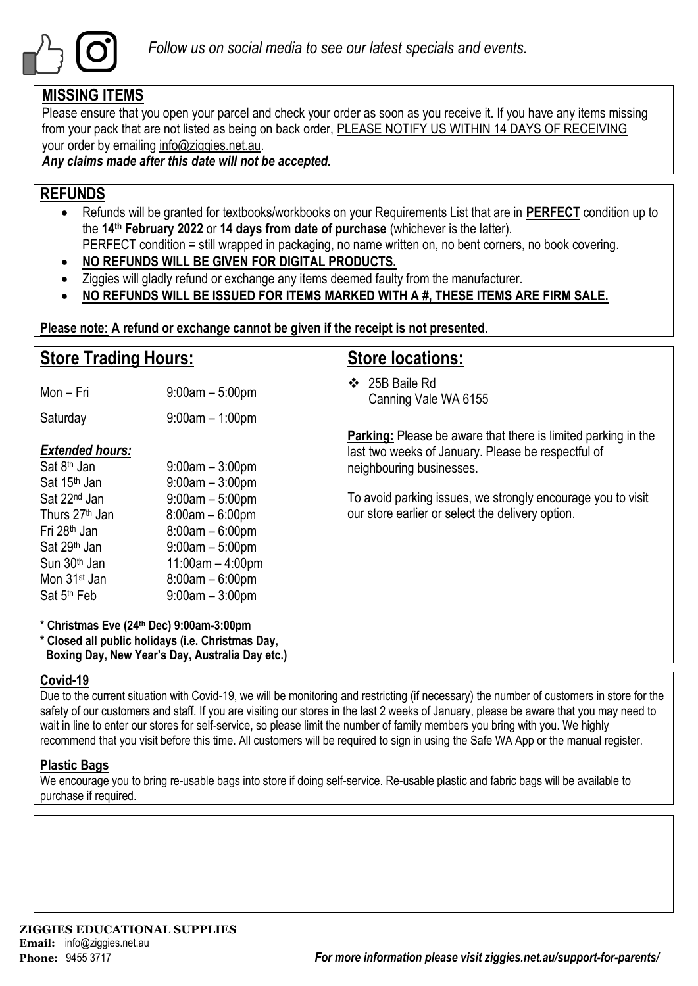

### **MISSING ITEMS**

Please ensure that you open your parcel and check your order as soon as you receive it. If you have any items missing from your pack that are not listed as being on back order, PLEASE NOTIFY US WITHIN 14 DAYS OF RECEIVING your order by emailing info@ziggies.net.au.

*Any claims made after this date will not be accepted.*

### **REFUNDS**

- Refunds will be granted for textbooks/workbooks on your Requirements List that are in **PERFECT** condition up to the **14th February 2022** or **14 days from date of purchase** (whichever is the latter). PERFECT condition = still wrapped in packaging, no name written on, no bent corners, no book covering.
- **NO REFUNDS WILL BE GIVEN FOR DIGITAL PRODUCTS.**
- Ziggies will gladly refund or exchange any items deemed faulty from the manufacturer.
- **NO REFUNDS WILL BE ISSUED FOR ITEMS MARKED WITH A #, THESE ITEMS ARE FIRM SALE.**

**Please note: A refund or exchange cannot be given if the receipt is not presented.**

| <b>Store Trading Hours:</b>                                                                                                                                                                                                                                                                             |                                                                | <b>Store locations:</b>                                                                                                                                                                                                                                                   |  |  |  |
|---------------------------------------------------------------------------------------------------------------------------------------------------------------------------------------------------------------------------------------------------------------------------------------------------------|----------------------------------------------------------------|---------------------------------------------------------------------------------------------------------------------------------------------------------------------------------------------------------------------------------------------------------------------------|--|--|--|
| Mon – Fri                                                                                                                                                                                                                                                                                               | $9:00am - 5:00pm$                                              | ❖ 25B Baile Rd<br>Canning Vale WA 6155                                                                                                                                                                                                                                    |  |  |  |
| Saturday                                                                                                                                                                                                                                                                                                | $9:00$ am $-1:00$ pm                                           |                                                                                                                                                                                                                                                                           |  |  |  |
| <b>Extended hours:</b><br>Sat 8 <sup>th</sup> Jan<br>Sat 15 <sup>th</sup> Jan<br>Sat 22 <sup>nd</sup> Jan                                                                                                                                                                                               | $9:00$ am $-3:00$ pm<br>$9:00am - 3:00pm$<br>$9:00am - 5:00pm$ | <b>Parking:</b> Please be aware that there is limited parking in the<br>last two weeks of January. Please be respectful of<br>neighbouring businesses.<br>To avoid parking issues, we strongly encourage you to visit<br>our store earlier or select the delivery option. |  |  |  |
| Thurs 27 <sup>th</sup> Jan<br>$8:00am - 6:00pm$<br>Fri 28 <sup>th</sup> Jan<br>$8:00am - 6:00pm$<br>Sat 29 <sup>th</sup> Jan<br>$9:00am - 5:00pm$<br>$11:00am - 4:00pm$<br>Sun 30 <sup>th</sup> Jan<br>Mon 31 <sup>st</sup> Jan<br>$8:00am - 6:00pm$<br>$9:00$ am $-3:00$ pm<br>Sat 5 <sup>th</sup> Feb |                                                                |                                                                                                                                                                                                                                                                           |  |  |  |
| * Christmas Eve (24th Dec) 9:00am-3:00pm<br>* Closed all public holidays (i.e. Christmas Day,<br>Boxing Day, New Year's Day, Australia Day etc.)                                                                                                                                                        |                                                                |                                                                                                                                                                                                                                                                           |  |  |  |

### **Covid-19**

Due to the current situation with Covid-19, we will be monitoring and restricting (if necessary) the number of customers in store for the safety of our customers and staff. If you are visiting our stores in the last 2 weeks of January, please be aware that you may need to wait in line to enter our stores for self-service, so please limit the number of family members you bring with you. We highly recommend that you visit before this time. All customers will be required to sign in using the Safe WA App or the manual register.

### **Plastic Bags**

We encourage you to bring re-usable bags into store if doing self-service. Re-usable plastic and fabric bags will be available to purchase if required.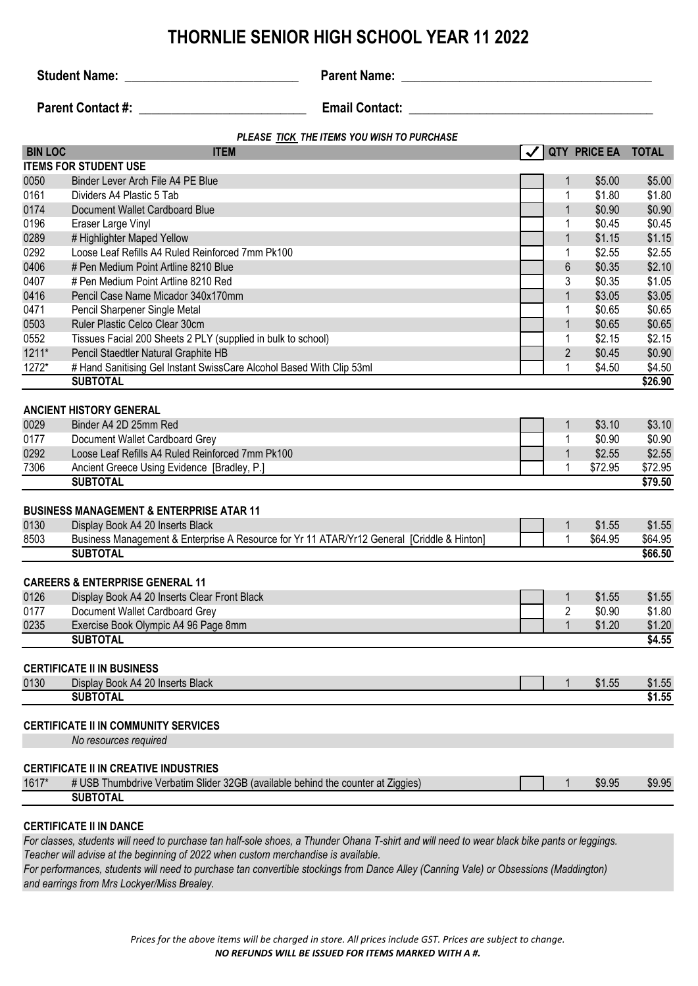**Student Name:** \_\_\_\_\_\_\_\_\_\_\_\_\_\_\_\_\_\_\_\_\_\_\_\_\_\_\_ **Parent Name: \_\_\_\_\_\_\_\_\_\_\_\_\_\_\_\_\_\_\_\_\_\_\_\_\_\_\_\_\_\_\_\_\_\_\_\_\_\_\_**

**Parent Contact #:** \_\_\_\_\_\_\_\_\_\_\_\_\_\_\_\_\_\_\_\_\_\_\_\_\_\_ **Email Contact: \_\_\_\_\_\_\_\_\_\_\_\_\_\_\_\_\_\_\_\_\_\_\_\_\_\_\_\_\_\_\_\_\_\_\_\_\_\_**

| <b>BIN LOC</b><br>QTY PRICE EA<br><b>ITEM</b><br><b>TOTAL</b><br><b>ITEMS FOR STUDENT USE</b><br>0050<br>Binder Lever Arch File A4 PE Blue<br>\$5.00<br>\$5.00<br>1<br>\$1.80<br>\$1.80<br>0161<br>Dividers A4 Plastic 5 Tab<br>1<br>0174<br>\$0.90<br>$\mathbf 1$<br>\$0.90<br>Document Wallet Cardboard Blue<br>0196<br>\$0.45<br>\$0.45<br>Eraser Large Vinyl<br>1<br>0289<br># Highlighter Maped Yellow<br>\$1.15<br>\$1.15<br>$\mathbf 1$<br>0292<br>Loose Leaf Refills A4 Ruled Reinforced 7mm Pk100<br>\$2.55<br>\$2.55<br>1<br>0406<br># Pen Medium Point Artline 8210 Blue<br>6<br>\$0.35<br>\$2.10<br>0407<br>\$0.35<br>\$1.05<br># Pen Medium Point Artline 8210 Red<br>3<br>0416<br>\$3.05<br>\$3.05<br>Pencil Case Name Micador 340x170mm<br>$\mathbf{1}$<br>0471<br>Pencil Sharpener Single Metal<br>\$0.65<br>\$0.65<br>1<br>0503<br>\$0.65<br>\$0.65<br>Ruler Plastic Celco Clear 30cm<br>$\mathbf 1$<br>0552<br>Tissues Facial 200 Sheets 2 PLY (supplied in bulk to school)<br>1<br>\$2.15<br>\$2.15<br>$1211*$<br>$\overline{2}$<br>\$0.45<br>\$0.90<br>Pencil Staedtler Natural Graphite HB<br>1272*<br># Hand Sanitising Gel Instant SwissCare Alcohol Based With Clip 53ml<br>\$4.50<br>1<br>\$4.50<br><b>SUBTOTAL</b><br>\$26.90<br><b>ANCIENT HISTORY GENERAL</b><br>\$3.10<br>0029<br>Binder A4 2D 25mm Red<br>\$3.10<br>$\mathbf 1$<br>0177<br>1<br>\$0.90<br>\$0.90<br>Document Wallet Cardboard Grey<br>0292<br>\$2.55<br>Loose Leaf Refills A4 Ruled Reinforced 7mm Pk100<br>$\mathbf{1}$<br>\$2.55<br>7306<br>\$72.95<br>\$72.95<br>Ancient Greece Using Evidence [Bradley, P.]<br>1<br><b>SUBTOTAL</b><br>\$79.50<br><b>BUSINESS MANAGEMENT &amp; ENTERPRISE ATAR 11</b><br>0130<br>\$1.55<br>\$1.55<br>Display Book A4 20 Inserts Black<br>$\mathbf 1$<br>Business Management & Enterprise A Resource for Yr 11 ATAR/Yr12 General [Criddle & Hinton]<br>8503<br>1<br>\$64.95<br>\$64.95<br><b>SUBTOTAL</b><br>\$66.50<br><b>CAREERS &amp; ENTERPRISE GENERAL 11</b><br>0126<br>\$1.55<br>\$1.55<br>Display Book A4 20 Inserts Clear Front Black<br>1<br>Document Wallet Cardboard Grey<br>0177<br>2<br>\$0.90<br>\$1.80<br>0235<br>Exercise Book Olympic A4 96 Page 8mm<br>$\mathbf 1$<br>\$1.20<br>\$1.20<br><b>SUBTOTAL</b><br>\$4.55<br><b>CERTIFICATE II IN BUSINESS</b><br>0130<br>Display Book A4 20 Inserts Black<br>\$1.55<br>\$1.55<br><b>SUBTOTAL</b><br>\$1.55<br><b>CERTIFICATE II IN COMMUNITY SERVICES</b><br>No resources required<br><b>CERTIFICATE II IN CREATIVE INDUSTRIES</b><br>1617*<br># USB Thumbdrive Verbatim Slider 32GB (available behind the counter at Ziggies)<br>\$9.95<br>\$9.95 | PLEASE TICK THE ITEMS YOU WISH TO PURCHASE |                 |  |  |  |  |
|---------------------------------------------------------------------------------------------------------------------------------------------------------------------------------------------------------------------------------------------------------------------------------------------------------------------------------------------------------------------------------------------------------------------------------------------------------------------------------------------------------------------------------------------------------------------------------------------------------------------------------------------------------------------------------------------------------------------------------------------------------------------------------------------------------------------------------------------------------------------------------------------------------------------------------------------------------------------------------------------------------------------------------------------------------------------------------------------------------------------------------------------------------------------------------------------------------------------------------------------------------------------------------------------------------------------------------------------------------------------------------------------------------------------------------------------------------------------------------------------------------------------------------------------------------------------------------------------------------------------------------------------------------------------------------------------------------------------------------------------------------------------------------------------------------------------------------------------------------------------------------------------------------------------------------------------------------------------------------------------------------------------------------------------------------------------------------------------------------------------------------------------------------------------------------------------------------------------------------------------------------------------------------------------------------------------------------------------------------------------------------------------------------------------------------------------------------------------------------------------------------------------------------------------------------------------------------------------------------------------------------------------------|--------------------------------------------|-----------------|--|--|--|--|
|                                                                                                                                                                                                                                                                                                                                                                                                                                                                                                                                                                                                                                                                                                                                                                                                                                                                                                                                                                                                                                                                                                                                                                                                                                                                                                                                                                                                                                                                                                                                                                                                                                                                                                                                                                                                                                                                                                                                                                                                                                                                                                                                                                                                                                                                                                                                                                                                                                                                                                                                                                                                                                                   |                                            |                 |  |  |  |  |
|                                                                                                                                                                                                                                                                                                                                                                                                                                                                                                                                                                                                                                                                                                                                                                                                                                                                                                                                                                                                                                                                                                                                                                                                                                                                                                                                                                                                                                                                                                                                                                                                                                                                                                                                                                                                                                                                                                                                                                                                                                                                                                                                                                                                                                                                                                                                                                                                                                                                                                                                                                                                                                                   |                                            |                 |  |  |  |  |
|                                                                                                                                                                                                                                                                                                                                                                                                                                                                                                                                                                                                                                                                                                                                                                                                                                                                                                                                                                                                                                                                                                                                                                                                                                                                                                                                                                                                                                                                                                                                                                                                                                                                                                                                                                                                                                                                                                                                                                                                                                                                                                                                                                                                                                                                                                                                                                                                                                                                                                                                                                                                                                                   |                                            |                 |  |  |  |  |
|                                                                                                                                                                                                                                                                                                                                                                                                                                                                                                                                                                                                                                                                                                                                                                                                                                                                                                                                                                                                                                                                                                                                                                                                                                                                                                                                                                                                                                                                                                                                                                                                                                                                                                                                                                                                                                                                                                                                                                                                                                                                                                                                                                                                                                                                                                                                                                                                                                                                                                                                                                                                                                                   |                                            |                 |  |  |  |  |
|                                                                                                                                                                                                                                                                                                                                                                                                                                                                                                                                                                                                                                                                                                                                                                                                                                                                                                                                                                                                                                                                                                                                                                                                                                                                                                                                                                                                                                                                                                                                                                                                                                                                                                                                                                                                                                                                                                                                                                                                                                                                                                                                                                                                                                                                                                                                                                                                                                                                                                                                                                                                                                                   |                                            |                 |  |  |  |  |
|                                                                                                                                                                                                                                                                                                                                                                                                                                                                                                                                                                                                                                                                                                                                                                                                                                                                                                                                                                                                                                                                                                                                                                                                                                                                                                                                                                                                                                                                                                                                                                                                                                                                                                                                                                                                                                                                                                                                                                                                                                                                                                                                                                                                                                                                                                                                                                                                                                                                                                                                                                                                                                                   |                                            |                 |  |  |  |  |
|                                                                                                                                                                                                                                                                                                                                                                                                                                                                                                                                                                                                                                                                                                                                                                                                                                                                                                                                                                                                                                                                                                                                                                                                                                                                                                                                                                                                                                                                                                                                                                                                                                                                                                                                                                                                                                                                                                                                                                                                                                                                                                                                                                                                                                                                                                                                                                                                                                                                                                                                                                                                                                                   |                                            |                 |  |  |  |  |
|                                                                                                                                                                                                                                                                                                                                                                                                                                                                                                                                                                                                                                                                                                                                                                                                                                                                                                                                                                                                                                                                                                                                                                                                                                                                                                                                                                                                                                                                                                                                                                                                                                                                                                                                                                                                                                                                                                                                                                                                                                                                                                                                                                                                                                                                                                                                                                                                                                                                                                                                                                                                                                                   |                                            |                 |  |  |  |  |
|                                                                                                                                                                                                                                                                                                                                                                                                                                                                                                                                                                                                                                                                                                                                                                                                                                                                                                                                                                                                                                                                                                                                                                                                                                                                                                                                                                                                                                                                                                                                                                                                                                                                                                                                                                                                                                                                                                                                                                                                                                                                                                                                                                                                                                                                                                                                                                                                                                                                                                                                                                                                                                                   |                                            |                 |  |  |  |  |
|                                                                                                                                                                                                                                                                                                                                                                                                                                                                                                                                                                                                                                                                                                                                                                                                                                                                                                                                                                                                                                                                                                                                                                                                                                                                                                                                                                                                                                                                                                                                                                                                                                                                                                                                                                                                                                                                                                                                                                                                                                                                                                                                                                                                                                                                                                                                                                                                                                                                                                                                                                                                                                                   |                                            |                 |  |  |  |  |
|                                                                                                                                                                                                                                                                                                                                                                                                                                                                                                                                                                                                                                                                                                                                                                                                                                                                                                                                                                                                                                                                                                                                                                                                                                                                                                                                                                                                                                                                                                                                                                                                                                                                                                                                                                                                                                                                                                                                                                                                                                                                                                                                                                                                                                                                                                                                                                                                                                                                                                                                                                                                                                                   |                                            |                 |  |  |  |  |
|                                                                                                                                                                                                                                                                                                                                                                                                                                                                                                                                                                                                                                                                                                                                                                                                                                                                                                                                                                                                                                                                                                                                                                                                                                                                                                                                                                                                                                                                                                                                                                                                                                                                                                                                                                                                                                                                                                                                                                                                                                                                                                                                                                                                                                                                                                                                                                                                                                                                                                                                                                                                                                                   |                                            |                 |  |  |  |  |
|                                                                                                                                                                                                                                                                                                                                                                                                                                                                                                                                                                                                                                                                                                                                                                                                                                                                                                                                                                                                                                                                                                                                                                                                                                                                                                                                                                                                                                                                                                                                                                                                                                                                                                                                                                                                                                                                                                                                                                                                                                                                                                                                                                                                                                                                                                                                                                                                                                                                                                                                                                                                                                                   |                                            |                 |  |  |  |  |
|                                                                                                                                                                                                                                                                                                                                                                                                                                                                                                                                                                                                                                                                                                                                                                                                                                                                                                                                                                                                                                                                                                                                                                                                                                                                                                                                                                                                                                                                                                                                                                                                                                                                                                                                                                                                                                                                                                                                                                                                                                                                                                                                                                                                                                                                                                                                                                                                                                                                                                                                                                                                                                                   |                                            |                 |  |  |  |  |
|                                                                                                                                                                                                                                                                                                                                                                                                                                                                                                                                                                                                                                                                                                                                                                                                                                                                                                                                                                                                                                                                                                                                                                                                                                                                                                                                                                                                                                                                                                                                                                                                                                                                                                                                                                                                                                                                                                                                                                                                                                                                                                                                                                                                                                                                                                                                                                                                                                                                                                                                                                                                                                                   |                                            |                 |  |  |  |  |
|                                                                                                                                                                                                                                                                                                                                                                                                                                                                                                                                                                                                                                                                                                                                                                                                                                                                                                                                                                                                                                                                                                                                                                                                                                                                                                                                                                                                                                                                                                                                                                                                                                                                                                                                                                                                                                                                                                                                                                                                                                                                                                                                                                                                                                                                                                                                                                                                                                                                                                                                                                                                                                                   |                                            |                 |  |  |  |  |
|                                                                                                                                                                                                                                                                                                                                                                                                                                                                                                                                                                                                                                                                                                                                                                                                                                                                                                                                                                                                                                                                                                                                                                                                                                                                                                                                                                                                                                                                                                                                                                                                                                                                                                                                                                                                                                                                                                                                                                                                                                                                                                                                                                                                                                                                                                                                                                                                                                                                                                                                                                                                                                                   |                                            |                 |  |  |  |  |
|                                                                                                                                                                                                                                                                                                                                                                                                                                                                                                                                                                                                                                                                                                                                                                                                                                                                                                                                                                                                                                                                                                                                                                                                                                                                                                                                                                                                                                                                                                                                                                                                                                                                                                                                                                                                                                                                                                                                                                                                                                                                                                                                                                                                                                                                                                                                                                                                                                                                                                                                                                                                                                                   |                                            |                 |  |  |  |  |
|                                                                                                                                                                                                                                                                                                                                                                                                                                                                                                                                                                                                                                                                                                                                                                                                                                                                                                                                                                                                                                                                                                                                                                                                                                                                                                                                                                                                                                                                                                                                                                                                                                                                                                                                                                                                                                                                                                                                                                                                                                                                                                                                                                                                                                                                                                                                                                                                                                                                                                                                                                                                                                                   |                                            |                 |  |  |  |  |
|                                                                                                                                                                                                                                                                                                                                                                                                                                                                                                                                                                                                                                                                                                                                                                                                                                                                                                                                                                                                                                                                                                                                                                                                                                                                                                                                                                                                                                                                                                                                                                                                                                                                                                                                                                                                                                                                                                                                                                                                                                                                                                                                                                                                                                                                                                                                                                                                                                                                                                                                                                                                                                                   |                                            |                 |  |  |  |  |
|                                                                                                                                                                                                                                                                                                                                                                                                                                                                                                                                                                                                                                                                                                                                                                                                                                                                                                                                                                                                                                                                                                                                                                                                                                                                                                                                                                                                                                                                                                                                                                                                                                                                                                                                                                                                                                                                                                                                                                                                                                                                                                                                                                                                                                                                                                                                                                                                                                                                                                                                                                                                                                                   |                                            |                 |  |  |  |  |
|                                                                                                                                                                                                                                                                                                                                                                                                                                                                                                                                                                                                                                                                                                                                                                                                                                                                                                                                                                                                                                                                                                                                                                                                                                                                                                                                                                                                                                                                                                                                                                                                                                                                                                                                                                                                                                                                                                                                                                                                                                                                                                                                                                                                                                                                                                                                                                                                                                                                                                                                                                                                                                                   |                                            |                 |  |  |  |  |
|                                                                                                                                                                                                                                                                                                                                                                                                                                                                                                                                                                                                                                                                                                                                                                                                                                                                                                                                                                                                                                                                                                                                                                                                                                                                                                                                                                                                                                                                                                                                                                                                                                                                                                                                                                                                                                                                                                                                                                                                                                                                                                                                                                                                                                                                                                                                                                                                                                                                                                                                                                                                                                                   |                                            |                 |  |  |  |  |
|                                                                                                                                                                                                                                                                                                                                                                                                                                                                                                                                                                                                                                                                                                                                                                                                                                                                                                                                                                                                                                                                                                                                                                                                                                                                                                                                                                                                                                                                                                                                                                                                                                                                                                                                                                                                                                                                                                                                                                                                                                                                                                                                                                                                                                                                                                                                                                                                                                                                                                                                                                                                                                                   |                                            |                 |  |  |  |  |
|                                                                                                                                                                                                                                                                                                                                                                                                                                                                                                                                                                                                                                                                                                                                                                                                                                                                                                                                                                                                                                                                                                                                                                                                                                                                                                                                                                                                                                                                                                                                                                                                                                                                                                                                                                                                                                                                                                                                                                                                                                                                                                                                                                                                                                                                                                                                                                                                                                                                                                                                                                                                                                                   |                                            |                 |  |  |  |  |
|                                                                                                                                                                                                                                                                                                                                                                                                                                                                                                                                                                                                                                                                                                                                                                                                                                                                                                                                                                                                                                                                                                                                                                                                                                                                                                                                                                                                                                                                                                                                                                                                                                                                                                                                                                                                                                                                                                                                                                                                                                                                                                                                                                                                                                                                                                                                                                                                                                                                                                                                                                                                                                                   |                                            |                 |  |  |  |  |
|                                                                                                                                                                                                                                                                                                                                                                                                                                                                                                                                                                                                                                                                                                                                                                                                                                                                                                                                                                                                                                                                                                                                                                                                                                                                                                                                                                                                                                                                                                                                                                                                                                                                                                                                                                                                                                                                                                                                                                                                                                                                                                                                                                                                                                                                                                                                                                                                                                                                                                                                                                                                                                                   |                                            |                 |  |  |  |  |
|                                                                                                                                                                                                                                                                                                                                                                                                                                                                                                                                                                                                                                                                                                                                                                                                                                                                                                                                                                                                                                                                                                                                                                                                                                                                                                                                                                                                                                                                                                                                                                                                                                                                                                                                                                                                                                                                                                                                                                                                                                                                                                                                                                                                                                                                                                                                                                                                                                                                                                                                                                                                                                                   |                                            |                 |  |  |  |  |
|                                                                                                                                                                                                                                                                                                                                                                                                                                                                                                                                                                                                                                                                                                                                                                                                                                                                                                                                                                                                                                                                                                                                                                                                                                                                                                                                                                                                                                                                                                                                                                                                                                                                                                                                                                                                                                                                                                                                                                                                                                                                                                                                                                                                                                                                                                                                                                                                                                                                                                                                                                                                                                                   |                                            |                 |  |  |  |  |
|                                                                                                                                                                                                                                                                                                                                                                                                                                                                                                                                                                                                                                                                                                                                                                                                                                                                                                                                                                                                                                                                                                                                                                                                                                                                                                                                                                                                                                                                                                                                                                                                                                                                                                                                                                                                                                                                                                                                                                                                                                                                                                                                                                                                                                                                                                                                                                                                                                                                                                                                                                                                                                                   |                                            |                 |  |  |  |  |
|                                                                                                                                                                                                                                                                                                                                                                                                                                                                                                                                                                                                                                                                                                                                                                                                                                                                                                                                                                                                                                                                                                                                                                                                                                                                                                                                                                                                                                                                                                                                                                                                                                                                                                                                                                                                                                                                                                                                                                                                                                                                                                                                                                                                                                                                                                                                                                                                                                                                                                                                                                                                                                                   |                                            |                 |  |  |  |  |
|                                                                                                                                                                                                                                                                                                                                                                                                                                                                                                                                                                                                                                                                                                                                                                                                                                                                                                                                                                                                                                                                                                                                                                                                                                                                                                                                                                                                                                                                                                                                                                                                                                                                                                                                                                                                                                                                                                                                                                                                                                                                                                                                                                                                                                                                                                                                                                                                                                                                                                                                                                                                                                                   |                                            |                 |  |  |  |  |
|                                                                                                                                                                                                                                                                                                                                                                                                                                                                                                                                                                                                                                                                                                                                                                                                                                                                                                                                                                                                                                                                                                                                                                                                                                                                                                                                                                                                                                                                                                                                                                                                                                                                                                                                                                                                                                                                                                                                                                                                                                                                                                                                                                                                                                                                                                                                                                                                                                                                                                                                                                                                                                                   |                                            |                 |  |  |  |  |
|                                                                                                                                                                                                                                                                                                                                                                                                                                                                                                                                                                                                                                                                                                                                                                                                                                                                                                                                                                                                                                                                                                                                                                                                                                                                                                                                                                                                                                                                                                                                                                                                                                                                                                                                                                                                                                                                                                                                                                                                                                                                                                                                                                                                                                                                                                                                                                                                                                                                                                                                                                                                                                                   |                                            |                 |  |  |  |  |
|                                                                                                                                                                                                                                                                                                                                                                                                                                                                                                                                                                                                                                                                                                                                                                                                                                                                                                                                                                                                                                                                                                                                                                                                                                                                                                                                                                                                                                                                                                                                                                                                                                                                                                                                                                                                                                                                                                                                                                                                                                                                                                                                                                                                                                                                                                                                                                                                                                                                                                                                                                                                                                                   |                                            |                 |  |  |  |  |
|                                                                                                                                                                                                                                                                                                                                                                                                                                                                                                                                                                                                                                                                                                                                                                                                                                                                                                                                                                                                                                                                                                                                                                                                                                                                                                                                                                                                                                                                                                                                                                                                                                                                                                                                                                                                                                                                                                                                                                                                                                                                                                                                                                                                                                                                                                                                                                                                                                                                                                                                                                                                                                                   |                                            |                 |  |  |  |  |
|                                                                                                                                                                                                                                                                                                                                                                                                                                                                                                                                                                                                                                                                                                                                                                                                                                                                                                                                                                                                                                                                                                                                                                                                                                                                                                                                                                                                                                                                                                                                                                                                                                                                                                                                                                                                                                                                                                                                                                                                                                                                                                                                                                                                                                                                                                                                                                                                                                                                                                                                                                                                                                                   |                                            |                 |  |  |  |  |
|                                                                                                                                                                                                                                                                                                                                                                                                                                                                                                                                                                                                                                                                                                                                                                                                                                                                                                                                                                                                                                                                                                                                                                                                                                                                                                                                                                                                                                                                                                                                                                                                                                                                                                                                                                                                                                                                                                                                                                                                                                                                                                                                                                                                                                                                                                                                                                                                                                                                                                                                                                                                                                                   |                                            |                 |  |  |  |  |
|                                                                                                                                                                                                                                                                                                                                                                                                                                                                                                                                                                                                                                                                                                                                                                                                                                                                                                                                                                                                                                                                                                                                                                                                                                                                                                                                                                                                                                                                                                                                                                                                                                                                                                                                                                                                                                                                                                                                                                                                                                                                                                                                                                                                                                                                                                                                                                                                                                                                                                                                                                                                                                                   |                                            |                 |  |  |  |  |
|                                                                                                                                                                                                                                                                                                                                                                                                                                                                                                                                                                                                                                                                                                                                                                                                                                                                                                                                                                                                                                                                                                                                                                                                                                                                                                                                                                                                                                                                                                                                                                                                                                                                                                                                                                                                                                                                                                                                                                                                                                                                                                                                                                                                                                                                                                                                                                                                                                                                                                                                                                                                                                                   |                                            |                 |  |  |  |  |
|                                                                                                                                                                                                                                                                                                                                                                                                                                                                                                                                                                                                                                                                                                                                                                                                                                                                                                                                                                                                                                                                                                                                                                                                                                                                                                                                                                                                                                                                                                                                                                                                                                                                                                                                                                                                                                                                                                                                                                                                                                                                                                                                                                                                                                                                                                                                                                                                                                                                                                                                                                                                                                                   |                                            |                 |  |  |  |  |
|                                                                                                                                                                                                                                                                                                                                                                                                                                                                                                                                                                                                                                                                                                                                                                                                                                                                                                                                                                                                                                                                                                                                                                                                                                                                                                                                                                                                                                                                                                                                                                                                                                                                                                                                                                                                                                                                                                                                                                                                                                                                                                                                                                                                                                                                                                                                                                                                                                                                                                                                                                                                                                                   |                                            |                 |  |  |  |  |
|                                                                                                                                                                                                                                                                                                                                                                                                                                                                                                                                                                                                                                                                                                                                                                                                                                                                                                                                                                                                                                                                                                                                                                                                                                                                                                                                                                                                                                                                                                                                                                                                                                                                                                                                                                                                                                                                                                                                                                                                                                                                                                                                                                                                                                                                                                                                                                                                                                                                                                                                                                                                                                                   |                                            |                 |  |  |  |  |
|                                                                                                                                                                                                                                                                                                                                                                                                                                                                                                                                                                                                                                                                                                                                                                                                                                                                                                                                                                                                                                                                                                                                                                                                                                                                                                                                                                                                                                                                                                                                                                                                                                                                                                                                                                                                                                                                                                                                                                                                                                                                                                                                                                                                                                                                                                                                                                                                                                                                                                                                                                                                                                                   |                                            | <b>SUBTOTAL</b> |  |  |  |  |

### **CERTIFICATE II IN DANCE**

*For classes, students will need to purchase tan half-sole shoes, a Thunder Ohana T-shirt and will need to wear black bike pants or leggings. Teacher will advise at the beginning of 2022 when custom merchandise is available.*

*For performances, students will need to purchase tan convertible stockings from Dance Alley (Canning Vale) or Obsessions (Maddington) and earrings from Mrs Lockyer/Miss Brealey.*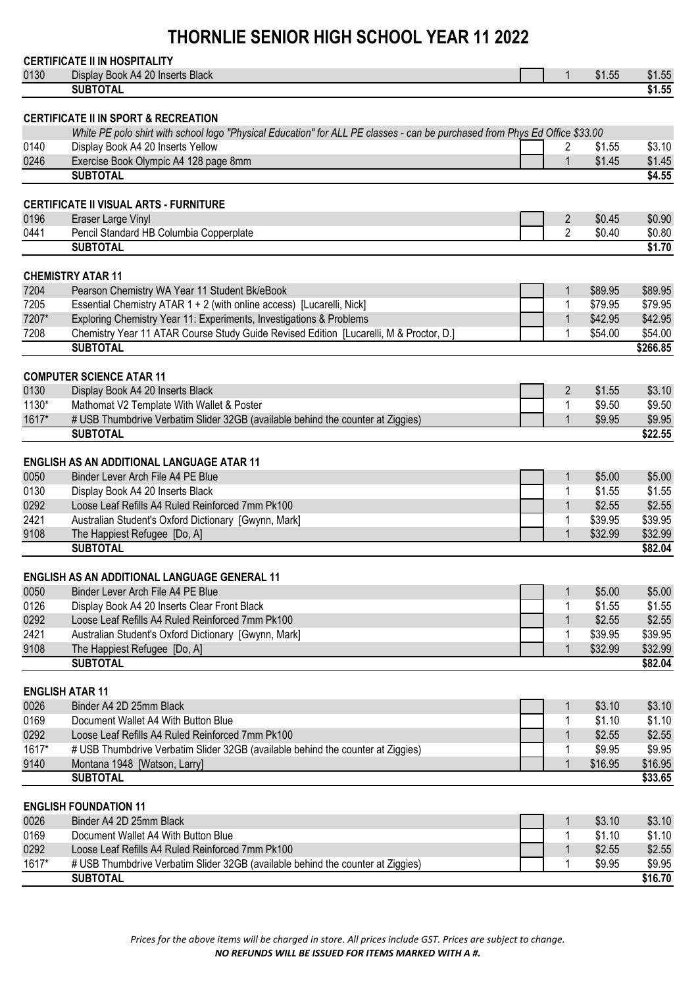### **CERTIFICATE II IN HOSPITALITY**

|       | 0 LINIII 10A I LIIII 1100 I 11A LII 1                                                                                       |                |         |          |
|-------|-----------------------------------------------------------------------------------------------------------------------------|----------------|---------|----------|
| 0130  | Display Book A4 20 Inserts Black                                                                                            | 1              | \$1.55  | \$1.55   |
|       | <b>SUBTOTAL</b>                                                                                                             |                |         | \$1.55   |
|       |                                                                                                                             |                |         |          |
|       | <b>CERTIFICATE II IN SPORT &amp; RECREATION</b>                                                                             |                |         |          |
|       | White PE polo shirt with school logo "Physical Education" for ALL PE classes - can be purchased from Phys Ed Office \$33.00 |                |         |          |
| 0140  | Display Book A4 20 Inserts Yellow                                                                                           | 2              | \$1.55  | \$3.10   |
| 0246  | Exercise Book Olympic A4 128 page 8mm                                                                                       | $\mathbf 1$    | \$1.45  | \$1.45   |
|       | <b>SUBTOTAL</b>                                                                                                             |                |         | \$4.55   |
|       |                                                                                                                             |                |         |          |
|       | <b>CERTIFICATE II VISUAL ARTS - FURNITURE</b>                                                                               |                |         |          |
| 0196  | Eraser Large Vinyl                                                                                                          | $\overline{2}$ | \$0.45  | \$0.90   |
| 0441  | Pencil Standard HB Columbia Copperplate                                                                                     | $\overline{2}$ | \$0.40  | \$0.80   |
|       | <b>SUBTOTAL</b>                                                                                                             |                |         | \$1.70   |
|       |                                                                                                                             |                |         |          |
|       | <b>CHEMISTRY ATAR 11</b>                                                                                                    |                |         |          |
| 7204  | Pearson Chemistry WA Year 11 Student Bk/eBook                                                                               | 1              | \$89.95 | \$89.95  |
| 7205  | Essential Chemistry ATAR 1 + 2 (with online access) [Lucarelli, Nick]                                                       | 1              | \$79.95 | \$79.95  |
| 7207* | Exploring Chemistry Year 11: Experiments, Investigations & Problems                                                         | $\mathbf{1}$   | \$42.95 | \$42.95  |
| 7208  | Chemistry Year 11 ATAR Course Study Guide Revised Edition [Lucarelli, M & Proctor, D.]                                      | 1              | \$54.00 | \$54.00  |
|       | <b>SUBTOTAL</b>                                                                                                             |                |         | \$266.85 |
|       |                                                                                                                             |                |         |          |
|       | <b>COMPUTER SCIENCE ATAR 11</b>                                                                                             |                |         |          |
| 0130  | Display Book A4 20 Inserts Black                                                                                            | $\overline{2}$ | \$1.55  | \$3.10   |
| 1130* | Mathomat V2 Template With Wallet & Poster                                                                                   | 1              | \$9.50  | \$9.50   |
| 1617* | # USB Thumbdrive Verbatim Slider 32GB (available behind the counter at Ziggies)                                             | $\mathbf 1$    | \$9.95  | \$9.95   |
|       | <b>SUBTOTAL</b>                                                                                                             |                |         | \$22.55  |
|       |                                                                                                                             |                |         |          |
|       | <b>ENGLISH AS AN ADDITIONAL LANGUAGE ATAR 11</b>                                                                            |                |         |          |
| 0050  | Binder Lever Arch File A4 PE Blue                                                                                           |                | \$5.00  |          |
|       |                                                                                                                             | $\mathbf{1}$   |         | \$5.00   |
| 0130  | Display Book A4 20 Inserts Black                                                                                            | 1              | \$1.55  | \$1.55   |
| 0292  | Loose Leaf Refills A4 Ruled Reinforced 7mm Pk100                                                                            | $\mathbf{1}$   | \$2.55  | \$2.55   |
| 2421  | Australian Student's Oxford Dictionary [Gwynn, Mark]                                                                        | 1              | \$39.95 | \$39.95  |
| 9108  | The Happiest Refugee [Do, A]                                                                                                | $\mathbf 1$    | \$32.99 | \$32.99  |
|       | <b>SUBTOTAL</b>                                                                                                             |                |         | \$82.04  |
|       |                                                                                                                             |                |         |          |
|       | <b>ENGLISH AS AN ADDITIONAL LANGUAGE GENERAL 11</b>                                                                         |                |         |          |
| 0050  | Binder Lever Arch File A4 PE Blue                                                                                           | $\mathbf 1$    | \$5.00  | \$5.00   |
| 0126  | Display Book A4 20 Inserts Clear Front Black                                                                                |                | \$1.55  | \$1.55   |
| 0292  | Loose Leaf Refills A4 Ruled Reinforced 7mm Pk100                                                                            | 1              | \$2.55  | \$2.55   |
| 2421  | Australian Student's Oxford Dictionary [Gwynn, Mark]                                                                        | 1              | \$39.95 | \$39.95  |
| 9108  | The Happiest Refugee [Do, A]                                                                                                | 1              | \$32.99 | \$32.99  |
|       | <b>SUBTOTAL</b>                                                                                                             |                |         | \$82.04  |
|       |                                                                                                                             |                |         |          |
|       | <b>ENGLISH ATAR 11</b>                                                                                                      |                |         |          |
| 0026  | Binder A4 2D 25mm Black                                                                                                     | 1              | \$3.10  | \$3.10   |
| 0169  | Document Wallet A4 With Button Blue                                                                                         | 1              | \$1.10  | \$1.10   |
| 0292  | Loose Leaf Refills A4 Ruled Reinforced 7mm Pk100                                                                            | 1              | \$2.55  | \$2.55   |
| 1617* | # USB Thumbdrive Verbatim Slider 32GB (available behind the counter at Ziggies)                                             | 1              | \$9.95  | \$9.95   |
| 9140  | Montana 1948 [Watson, Larry]                                                                                                | $\mathbf{1}$   | \$16.95 | \$16.95  |
|       | <b>SUBTOTAL</b>                                                                                                             |                |         |          |
|       |                                                                                                                             |                |         | \$33.65  |
|       | <b>ENGLISH FOUNDATION 11</b>                                                                                                |                |         |          |
|       |                                                                                                                             |                |         |          |
| 0026  | Binder A4 2D 25mm Black                                                                                                     | 1              | \$3.10  | \$3.10   |
| 0169  | Document Wallet A4 With Button Blue                                                                                         | 1              | \$1.10  | \$1.10   |
| 0292  | Loose Leaf Refills A4 Ruled Reinforced 7mm Pk100                                                                            | $\mathbf 1$    | \$2.55  | \$2.55   |
| 1617* | # USB Thumbdrive Verbatim Slider 32GB (available behind the counter at Ziggies)                                             | 1              | \$9.95  | \$9.95   |
|       | <b>SUBTOTAL</b>                                                                                                             |                |         | \$16.70  |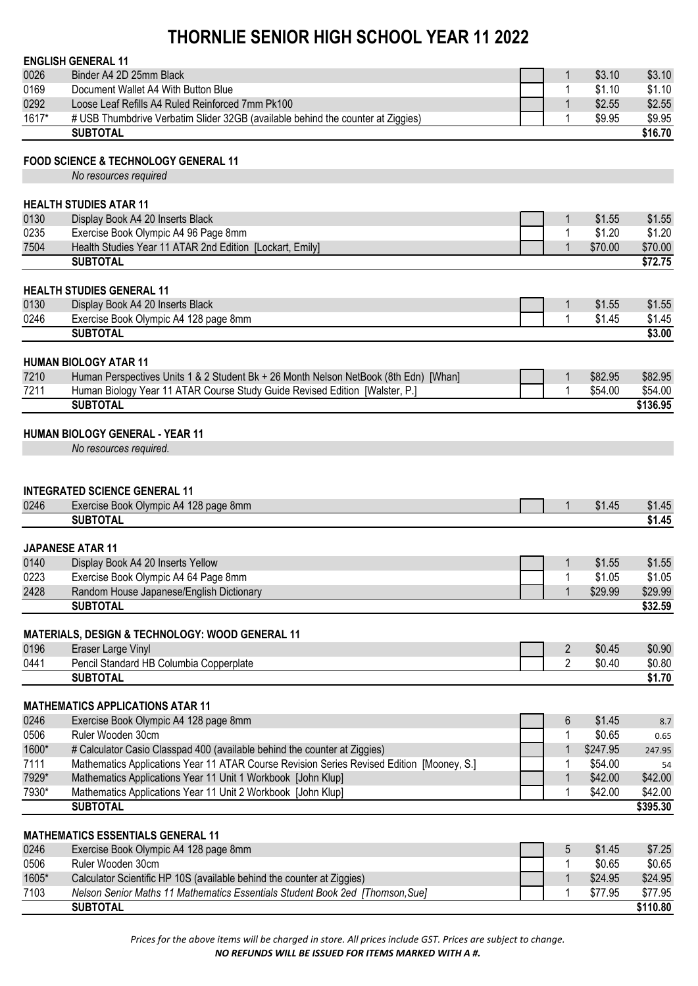|       | <b>ENGLISH GENERAL 11</b>                                                                        |                 |          |                             |
|-------|--------------------------------------------------------------------------------------------------|-----------------|----------|-----------------------------|
| 0026  | Binder A4 2D 25mm Black                                                                          | 1               | \$3.10   | \$3.10                      |
| 0169  | Document Wallet A4 With Button Blue                                                              | 1               | \$1.10   | \$1.10                      |
| 0292  | Loose Leaf Refills A4 Ruled Reinforced 7mm Pk100                                                 | $\mathbf{1}$    | \$2.55   | \$2.55                      |
| 1617* | # USB Thumbdrive Verbatim Slider 32GB (available behind the counter at Ziggies)                  | 1               | \$9.95   | \$9.95                      |
|       | <b>SUBTOTAL</b>                                                                                  |                 |          | \$16.70                     |
|       | <b>FOOD SCIENCE &amp; TECHNOLOGY GENERAL 11</b>                                                  |                 |          |                             |
|       | No resources required                                                                            |                 |          |                             |
|       |                                                                                                  |                 |          |                             |
| 0130  | <b>HEALTH STUDIES ATAR 11</b><br>Display Book A4 20 Inserts Black                                | 1               | \$1.55   | \$1.55                      |
| 0235  | Exercise Book Olympic A4 96 Page 8mm                                                             | 1               | \$1.20   | \$1.20                      |
| 7504  | Health Studies Year 11 ATAR 2nd Edition [Lockart, Emily]                                         | $\mathbf 1$     | \$70.00  | \$70.00                     |
|       | <b>SUBTOTAL</b>                                                                                  |                 |          | \$72.75                     |
|       |                                                                                                  |                 |          |                             |
| 0130  | <b>HEALTH STUDIES GENERAL 11</b><br>Display Book A4 20 Inserts Black                             |                 | \$1.55   | \$1.55                      |
| 0246  | Exercise Book Olympic A4 128 page 8mm                                                            | 1<br>1          | \$1.45   | \$1.45                      |
|       | <b>SUBTOTAL</b>                                                                                  |                 |          | \$3.00                      |
|       |                                                                                                  |                 |          |                             |
|       | <b>HUMAN BIOLOGY ATAR 11</b>                                                                     |                 |          |                             |
| 7210  | Human Perspectives Units 1 & 2 Student Bk + 26 Month Nelson NetBook (8th Edn) [Whan]             | 1               | \$82.95  | \$82.95                     |
| 7211  | Human Biology Year 11 ATAR Course Study Guide Revised Edition [Walster, P.]                      | 1               | \$54.00  | \$54.00                     |
|       | <b>SUBTOTAL</b>                                                                                  |                 |          | \$136.95                    |
|       | <b>HUMAN BIOLOGY GENERAL - YEAR 11</b>                                                           |                 |          |                             |
|       | No resources required.                                                                           |                 |          |                             |
|       |                                                                                                  |                 |          |                             |
|       |                                                                                                  |                 |          |                             |
|       | <b>INTEGRATED SCIENCE GENERAL 11</b>                                                             |                 |          |                             |
| 0246  | Exercise Book Olympic A4 128 page 8mm                                                            | 1               | \$1.45   | \$1.45                      |
|       | <b>SUBTOTAL</b>                                                                                  |                 |          | \$1.45                      |
|       | <b>JAPANESE ATAR 11</b>                                                                          |                 |          |                             |
| 0140  | Display Book A4 20 Inserts Yellow                                                                | 1               | \$1.55   | \$1.55                      |
| 0223  | Exercise Book Olympic A4 64 Page 8mm                                                             | 1               | \$1.05   | \$1.05                      |
| 2428  | Random House Japanese/English Dictionary                                                         | 1               | \$29.99  | \$29.99                     |
|       | <b>SUBTOTAL</b>                                                                                  |                 |          | \$32.59                     |
|       |                                                                                                  |                 |          |                             |
| 0196  | <b>MATERIALS, DESIGN &amp; TECHNOLOGY: WOOD GENERAL 11</b><br>Eraser Large Vinyl                 | $\overline{2}$  | \$0.45   | \$0.90                      |
| 0441  | Pencil Standard HB Columbia Copperplate                                                          | $\overline{2}$  | \$0.40   | \$0.80                      |
|       | <b>SUBTOTAL</b>                                                                                  |                 |          | \$1.70                      |
|       |                                                                                                  |                 |          |                             |
|       | <b>MATHEMATICS APPLICATIONS ATAR 11</b>                                                          |                 |          |                             |
| 0246  | Exercise Book Olympic A4 128 page 8mm                                                            | $6\phantom{1}6$ | \$1.45   | 8.7                         |
| 0506  | Ruler Wooden 30cm                                                                                | 1               | \$0.65   | 0.65                        |
| 1600* | # Calculator Casio Classpad 400 (available behind the counter at Ziggies)                        | 1               | \$247.95 | 247.95                      |
| 7111  | Mathematics Applications Year 11 ATAR Course Revision Series Revised Edition [Mooney, S.]        | 1               | \$54.00  | 54                          |
| 7929* | Mathematics Applications Year 11 Unit 1 Workbook [John Klup]                                     | 1               | \$42.00  | \$42.00                     |
| 7930* | Mathematics Applications Year 11 Unit 2 Workbook [John Klup]<br><b>SUBTOTAL</b>                  | 1               | \$42.00  | \$42.00<br>$\sqrt{3}395.30$ |
|       |                                                                                                  |                 |          |                             |
|       | <b>MATHEMATICS ESSENTIALS GENERAL 11</b>                                                         |                 |          |                             |
| 0246  | Exercise Book Olympic A4 128 page 8mm                                                            | 5               | \$1.45   | \$7.25                      |
| 0506  | Ruler Wooden 30cm                                                                                | 1               | \$0.65   | \$0.65                      |
| 1605* | Calculator Scientific HP 10S (available behind the counter at Ziggies)                           | 1               | \$24.95  | \$24.95                     |
| 7103  | Nelson Senior Maths 11 Mathematics Essentials Student Book 2ed [Thomson, Sue]<br><b>SUBTOTAL</b> |                 | \$77.95  | \$77.95<br>\$110.80         |
|       |                                                                                                  |                 |          |                             |

*Prices for the above items will be charged in store. All prices include GST. Prices are subject to change. NO REFUNDS WILL BE ISSUED FOR ITEMS MARKED WITH A #.*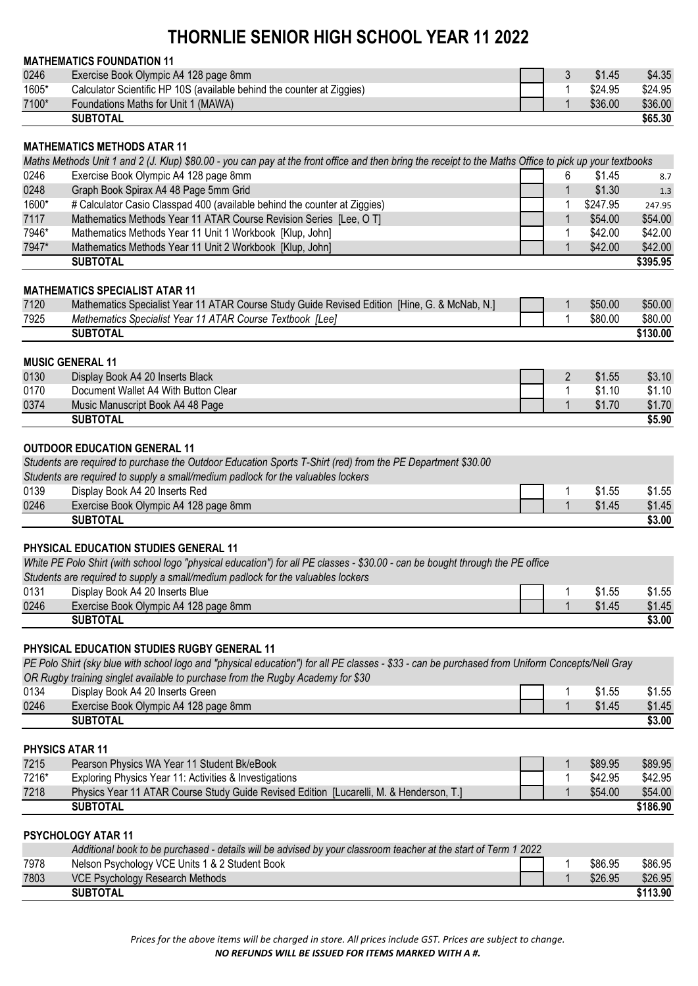|       | <b>MATHEMATICS FOUNDATION 11</b>                                                                                                                        |                |          |          |
|-------|---------------------------------------------------------------------------------------------------------------------------------------------------------|----------------|----------|----------|
| 0246  | Exercise Book Olympic A4 128 page 8mm                                                                                                                   | 3              | \$1.45   | \$4.35   |
| 1605* | Calculator Scientific HP 10S (available behind the counter at Ziggies)                                                                                  | 1              | \$24.95  | \$24.95  |
| 7100* | Foundations Maths for Unit 1 (MAWA)                                                                                                                     | $\mathbf 1$    | \$36.00  | \$36.00  |
|       | <b>SUBTOTAL</b>                                                                                                                                         |                |          | \$65.30  |
|       |                                                                                                                                                         |                |          |          |
|       | <b>MATHEMATICS METHODS ATAR 11</b>                                                                                                                      |                |          |          |
|       | Maths Methods Unit 1 and 2 (J. Klup) \$80.00 - you can pay at the front office and then bring the receipt to the Maths Office to pick up your textbooks |                |          |          |
| 0246  | Exercise Book Olympic A4 128 page 8mm                                                                                                                   | 6              | \$1.45   | 8.7      |
| 0248  | Graph Book Spirax A4 48 Page 5mm Grid                                                                                                                   | 1              | \$1.30   | 1.3      |
| 1600* | # Calculator Casio Classpad 400 (available behind the counter at Ziggies)                                                                               | 1              | \$247.95 | 247.95   |
| 7117  | Mathematics Methods Year 11 ATAR Course Revision Series [Lee, O T]                                                                                      | 1              | \$54.00  | \$54.00  |
| 7946* | Mathematics Methods Year 11 Unit 1 Workbook [Klup, John]                                                                                                | 1              | \$42.00  | \$42.00  |
| 7947* | Mathematics Methods Year 11 Unit 2 Workbook [Klup, John]                                                                                                | $\mathbf 1$    | \$42.00  | \$42.00  |
|       | <b>SUBTOTAL</b>                                                                                                                                         |                |          | \$395.95 |
|       | <b>MATHEMATICS SPECIALIST ATAR 11</b>                                                                                                                   |                |          |          |
| 7120  | Mathematics Specialist Year 11 ATAR Course Study Guide Revised Edition [Hine, G. & McNab, N.]                                                           | 1              | \$50.00  | \$50.00  |
| 7925  | Mathematics Specialist Year 11 ATAR Course Textbook [Lee]                                                                                               | 1              | \$80.00  | \$80.00  |
|       | <b>SUBTOTAL</b>                                                                                                                                         |                |          | \$130.00 |
|       |                                                                                                                                                         |                |          |          |
|       | <b>MUSIC GENERAL 11</b>                                                                                                                                 |                |          |          |
| 0130  | Display Book A4 20 Inserts Black                                                                                                                        | $\overline{2}$ | \$1.55   | \$3.10   |
| 0170  | Document Wallet A4 With Button Clear                                                                                                                    | 1              | \$1.10   | \$1.10   |
| 0374  | Music Manuscript Book A4 48 Page                                                                                                                        | 1              | \$1.70   | \$1.70   |
|       | <b>SUBTOTAL</b>                                                                                                                                         |                |          | \$5.90   |
|       |                                                                                                                                                         |                |          |          |
|       | <b>OUTDOOR EDUCATION GENERAL 11</b>                                                                                                                     |                |          |          |
|       | Students are required to purchase the Outdoor Education Sports T-Shirt (red) from the PE Department \$30.00                                             |                |          |          |
|       | Students are required to supply a small/medium padlock for the valuables lockers                                                                        |                |          |          |
| 0139  | Display Book A4 20 Inserts Red                                                                                                                          | 1              | \$1.55   | \$1.55   |
| 0246  | Exercise Book Olympic A4 128 page 8mm                                                                                                                   | $\overline{1}$ | \$1.45   | \$1.45   |
|       | <b>SUBTOTAL</b>                                                                                                                                         |                |          | \$3.00   |
|       |                                                                                                                                                         |                |          |          |
|       | <b>PHYSICAL EDUCATION STUDIES GENERAL 11</b>                                                                                                            |                |          |          |
|       | White PE Polo Shirt (with school logo "physical education") for all PE classes - \$30.00 - can be bought through the PE office                          |                |          |          |
|       | Students are required to supply a small/medium padlock for the valuables lockers                                                                        |                |          |          |
| 0131  | Display Book A4 20 Inserts Blue                                                                                                                         | 1              | \$1.55   | \$1.55   |
| 0246  | Exercise Book Olympic A4 128 page 8mm                                                                                                                   | $\mathbf{1}$   | \$1.45   | \$1.45   |
|       | <b>SUBTOTAL</b>                                                                                                                                         |                |          | \$3.00   |
|       |                                                                                                                                                         |                |          |          |
|       | <b>PHYSICAL EDUCATION STUDIES RUGBY GENERAL 11</b>                                                                                                      |                |          |          |
|       | PE Polo Shirt (sky blue with school logo and "physical education") for all PE classes - \$33 - can be purchased from Uniform Concepts/Nell Gray         |                |          |          |
|       | OR Rugby training singlet available to purchase from the Rugby Academy for \$30                                                                         |                |          |          |
| 0134  | Display Book A4 20 Inserts Green                                                                                                                        | 1              | \$1.55   | \$1.55   |
| 0246  | Exercise Book Olympic A4 128 page 8mm                                                                                                                   | $\mathbf{1}$   | \$1.45   | \$1.45   |
|       | <b>SUBTOTAL</b>                                                                                                                                         |                |          | \$3.00   |
|       | <b>PHYSICS ATAR 11</b>                                                                                                                                  |                |          |          |
| 7215  |                                                                                                                                                         |                | \$89.95  | \$89.95  |
|       | Pearson Physics WA Year 11 Student Bk/eBook                                                                                                             | 1              |          |          |
| 7216* | Exploring Physics Year 11: Activities & Investigations                                                                                                  | 1              | \$42.95  | \$42.95  |
| 7218  | Physics Year 11 ATAR Course Study Guide Revised Edition [Lucarelli, M. & Henderson, T.]<br><b>SUBTOTAL</b>                                              | $\mathbf 1$    | \$54.00  | \$54.00  |
|       |                                                                                                                                                         |                |          | \$186.90 |
|       | PSYCHOLOGY ATAR 11                                                                                                                                      |                |          |          |
|       | Additional book to be purchased - details will be advised by your classroom teacher at the start of Term 1 2022                                         |                |          |          |
| 7978  | Nelson Psychology VCE Units 1 & 2 Student Book                                                                                                          | 1              | \$86.95  | \$86.95  |
| 7803  | VCE Psychology Research Methods                                                                                                                         | $\mathbf{1}$   | \$26.95  | \$26.95  |
|       | <b>SUBTOTAL</b>                                                                                                                                         |                |          | \$113.90 |

*Prices for the above items will be charged in store. All prices include GST. Prices are subject to change. NO REFUNDS WILL BE ISSUED FOR ITEMS MARKED WITH A #.*

**SUBTOTAL \$113.90**